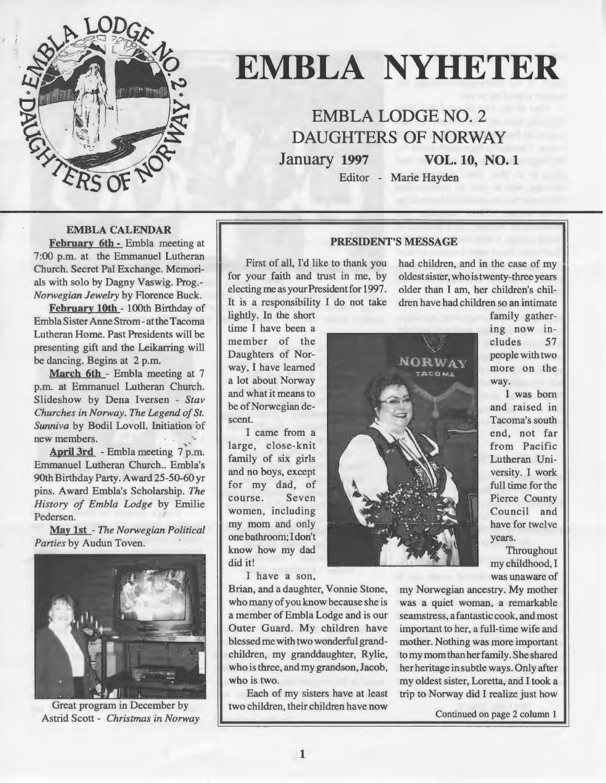

# **EMBLA NYHETER**

**EMBLA LODGE NO. 2 DAUGHTERS OF NORWAY January 1997 VOL. 10, NO. 1** 

Editor - Marie Hayden

# **EMBLA CALENDAR**

**February 6th** - Embla meeting at 7 :00 p.m. at the Emmanuel Lutheran Church. Secret Pal Exchange. Memorials with solo by Dagny Vaswig. Prog.- *Norwegian Jewelry* by Florence Buck.

**February lOth** - IOOth Birthday of Embla Sis ter Anne Strom - at the Tacoma Lutheran Home. Past Presidents will be presenting gift and the Leikarring will be dancing. Begins at 2 p.m.

**March 6th** - Embla meeting at 7 p.m. at Emmanuel Lutheran Church. Slideshow by Dena Iversen - *Stav Churches in Norway. The Legend of St.*  Sunniva by Bodil Lovoll. Initiation of new members.<br>**April 3rd** - Embla meeting 7 p.m.

Emmanuel Lutheran Church.. Embla's 90th Birthday Party. Award 25-50-60 yr pins. Award Embla's Scholarship. *The History of Embla Lodge* by Emilie Pedersen.

**May lst** - *The Norwegian Political Parties* by Audun Toven.



Great program in December by Astrid Scott - *Christmas in Norway* 

# **PRESIDENT'S MESSAGE**

First of all, I'd like to thank you for your faith and trust in me, by electing me as your President for 1997. It is a responsibility I do not take

lightly. In the short time I have been a member of the Daughters of Norway, I have leamed a lot about Norway and what it means to be of Norwegian descent.

I came from a large, close-knit family of six girls and no boys, except for my dad, of course. Seven women, including my mom and only one bathroom; I don't know how my dad did it!

I have a son,

Brian, and a daughter, Vonnie Stone, who many of you know because she is a member of Embla Lodge and is our Outer Guard. My children have blessed me with two wonderful grandchildren, my granddaughter, Rylie, who is three, and my grandson, Jacob, who is two.

Each of my sisters have at least two children, their children have now



had children, and *in* the case of my oldest sister, who is twenty-three years older than I am, her children's children have had children so an intimate

family gathering now includes 57 people with two more on the way.

I was bom and raised in Tacoma's south end, not far from Pacific Lutheran University. I work full time for the Pierce County Council and have for twelve years.

**Throughout** my childhood, I was unaware of

my Norwegian ancestry. My mother was a quiet woman, a remarkable seamstress, afantastic cook, and most important to her, a full-time wife and mother. Nothing was more important to my mom than her family. She shared her heritage in subtle ways. Only after my oldest sister, Loretta, and I took a trip to Norway did I realize just how

Continued on page 2 column 1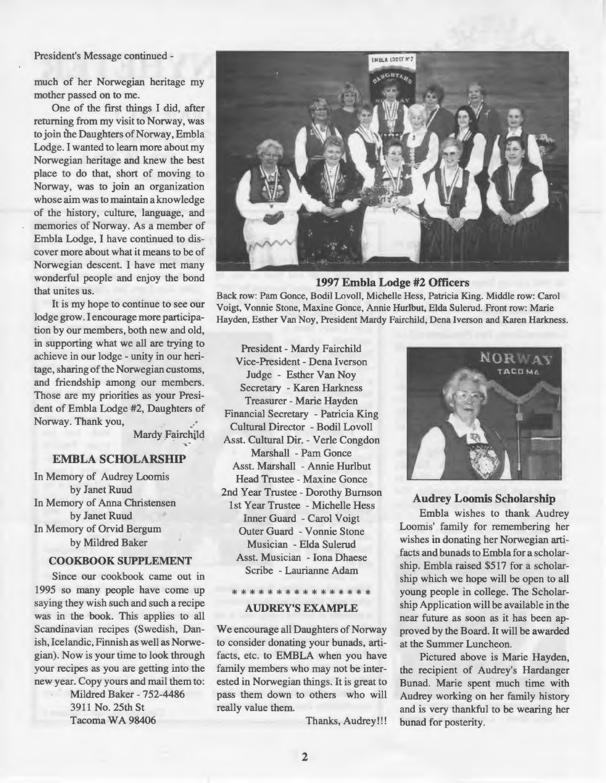#### President's Message continued -

much of her Norwegian heritage my mother passed on to me.

One of the first things I did, after retuming from my visit to Norway, was to join the Daughters of Norway, Embla Lodge. I wanted to learn more about my Norwegian heritage and knew the best place to do that, short of moving to Norway, was to join an organization whose aim was to maintain a knowledge of the history, culture, language, and memories of Norway. As a member of Embla Lodge, I have continued to discover more about what it means to be of Norwegian descent. I have met many wonderful people and enjoy the bond that unites us.

It is my hope to continue to see our lodge grow. I encourage more participation by our members, both new and old, in supporting what we all are trying to achieve in our lodge - unity in our heritage, sharing of the Norwegian customs, and friendship among our members. Those are my priorities as your President of Embla Lodge #2, Daughters of Norway. Thank you,

Mardy Fairchild

# **EMBLA SCHOLARSHIP**

In Memory of Audrey Loomis by Janet Ruud In Memory of Anna Christensen by Janet Ruud In Memory of Orvid Bergum by Mildred Baker

# **COOKBOOKSUPPLEMENT**

Since aur cookbook came out in 1995 so many people have come up saying they wish such and such a recipe was in the book. This applies to all Scandinavian recipes (Swedish, Danish, Icelandic, Finnish as well as Norwegian). Now is your time to look through your recipes as you are getting into the new year. Copy yours and mail them to:

> Mildred Baker - 752-4486 3911 No. 25th St Tacoma WA 98406



### **1997 Embla Lodge #2 Officers**

Back row: Pam Gonce, Bodil Lovoll, Michelle Hess, Patricia King. Middle row: Carol Voigt, Vonnie Stone, Maxine Gonce, Annie Hurlbut, Elda Sulerud. Front row: Marie Hayden, Esther Van Noy, President Mardy Fairchild, Dena Iverson and Karen Harkness.

President - Mardy Fairchild Vice-President - Dena Iverson Judge - Esther Van Noy Secretary - Karen Harkness Treasurer - Marie Hayden Financial Secretary - Patricia King Cultural Director - Bodil Lovoll Asst. Cultural Dir. - Verle Congdon Marshall - Pam Gonce Asst. Marshall - Annie Hurlbut Head Trustee - Maxine Gonce 2nd Year Trustee - Dorothy Bumson 1st Year Trustee - Michelle Hess Inner Guard - Carol Voigt Outer Guard - Vonnie Stone Musician - Elda Sulerud Asst. Musician - Iona Dhaese Scribe - Laurianne Adam

# \*\*\*\*\*\*\*\*\*\*\*\*\*\*

# **AUDREY'S EXAMPLE**

We encourage all Daughters of Norway to consider donating your bunads, artifacts, etc. to EMBLA when you have family members who may not be interested in Norwegian things. It is great to pass them down to others who will really value them.

Thanks, Audrey!!!



### **Audrey Loomis Scholarship**

Embla wishes to thank Audrey Loomis' family for remembering her wishes in donating her Norwegian artifacts and bunads to Embla for a scholarship. Embla raised \$517 for a scholarship which we hope will be open to all young people in college. The Scholarship Application will be available in the near future as soon as it has been approved by the Baard. It will be awarded at the Summer Luncheon.

Pictured above is Marie Hayden, the recipient of Audrey's Hardanger Bunad. Marie spent much time with Audrey working on her family history and is very thankful to be wearing her bunad for posterity.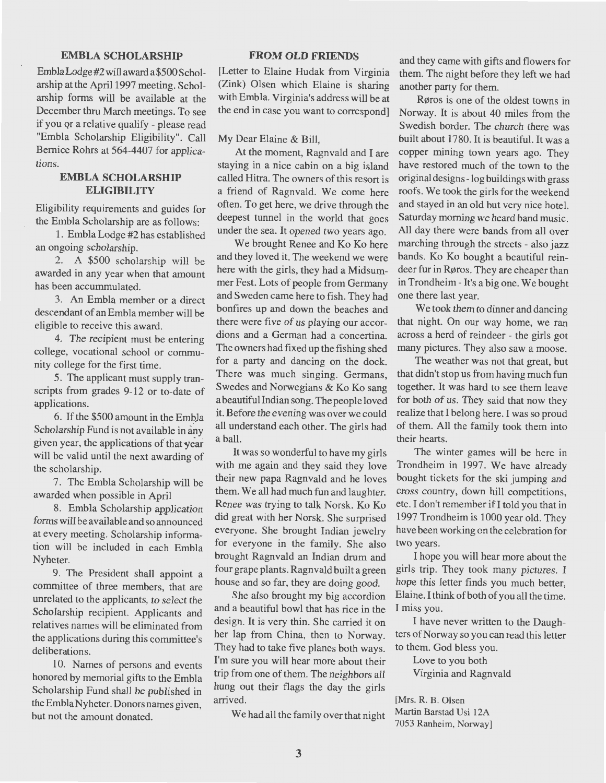#### **EMBLA SCHOLARSHIP**

EmblaLodge#2willawarda\$500Scholarship at the April 1997 meeting. Scholarship forms will be available at the December thru March meetings. To see if you Qr a relative qualify - please read "Embla Scholarship Eligibility". Call Bernice Rohrs at 564-4407 for applications.

# **EMBLA SCHOLARSHIP ELIGIBILITY**

Eligibility requirements and guides for the Embla Scholarship are as follows:

1. Embla Lodge #2 has established an ongoing scholarship.

2. A \$500 scholarship will be awarded in any year when that amount has been accummulated.

3. An Embla member or a direct descendant of an Embla member will be eligible to receive this award.

4. The recipient must be entering college, vocational school or community college for the first time.

5. The applicant must supply transcripts from grades 9-12 or to-date of applications.

6. If the \$500 amount in the EmbJa Scholarship Fund is not available in any given year, the applications of that year will be valid until the next awarding of the scholarship.

7. The Embla Scholarship will be awarded when possible in April

8. Embla Scholarship application forms will be available and so announced at every meeting. Scholarship information will be included in each Embla Nyheter.

9. The President shall appoint a committee of three members, that are unrelated to the applicants, to select the Scholarship recipient. Applicants and relatives names will be elirninated from the applications during this committee's deliberations.

10. Names of persons and events honored by memorial gifts to the Embla Scholarship Fund shall be published in the EmblaNyheter. Donors names given, but not the amount donated.

# **FROM OLD FRIENDS**

[Letter to Elaine Hudak from Virginia (Zink) Olsen which Elaine is sharing with Embla. Virginia's address will be at the end in case you want to correspond]

# My Dear Elaine & Bill,

At the moment, Ragnvald and I are staying in a nice cabin on a hig island called Hitra. The owners of this resort is a friend of Ragnvald. We come here often. To get here, we drive through the deepest tunnel in the world that goes under the sea. It opened two years ago.

We brought Renee and Ko Ko here and they loved it. The weekend we were here with the girls, they had a Midsummer Fest. Lots of people from Germany and Sweden came here to fish. They had bonfires up and down the beaches and there were five of us playing our accordions and a German had a concertina. The owners had fixed up the fishing shed for a party and dancing on the dock. There was much singing. Germans, Swedes and Norwegians & Ko Ko sang a beautiful Indian song. The people loved it. Before the evening was over we could all understand each other. The girls had a ball.

It was so wonderful to have my girls with me again and they said they love their new papa Ragnvald and he loves them. We all had much fun and laughter. Renee was trying to talk Norsk. Ko Ko did great with her Norsk. She surprised everyone. She brought Indian jewelry for everyone in the family. She also brought Ragnvald an Indian drum and four grape plants. Ragnvald built a green house and so far, they are doing good.

She also brought my hig accordion and a beautiful bowl that has rice in the design. It is very thin. She carried it on her lap from China, then to Norway. They had to take five planes both ways. I'm sure you will hear more about their trip from one of them. The neighbors all hung out their flags the day the girls arrived.

We had all the family over that night

and they came with gifts and flowers for them. The night before they left we had another party for them.

Røros is one of the oldest towns in Norway. It is about 40 miles from the Swedish border. The church there was built about 1780. It is beautiful. It was a copper mining town years ago. They have restored much of the town to the original designs -log buildings with grass roofs. We took the girls for the weekend and stayed in an old hut very nice hotel. Saturday morning we heard band music. All day there were hands from all over marching through the streets - also jazz bands. Ko Ko bought a beautiful reindeer fur in Røros. They are cheaper than in Trondheim- It's a hig one. We bought one there last year.

We took them to dinner and dancing that night. On our way home, we ran across a herd of reindeer - the girls got many pictures. They also saw a moose.

The weather was not that great, hut that didn't stop us from having much fun together. It was hard to see them leave for both of us. They said that now they realize that I belong here. I was so proud of them. All the family took them into their hearts.

The winter games will be here in Trondheim in 1997. We have already bought tickets for the ski jumping and cross country, down hill competitions, etc. I don't remember if I told you that in 1997 Trondheim is 1000 year old. They have been working on the celebration for two years.

I hope you will hear more about the girls trip. They took many pictures. I hope this letter finds you much better, Elaine. I think of both of you all the time. I miss you.

I have never written to the Daughters of Norway so you can read this letter to them. God bless you.

Love to you both Virginia and Ragnvald

[Mrs. R. B. Olsen Martin Barstad Usi 12A 7053 Ranheim, Norway]